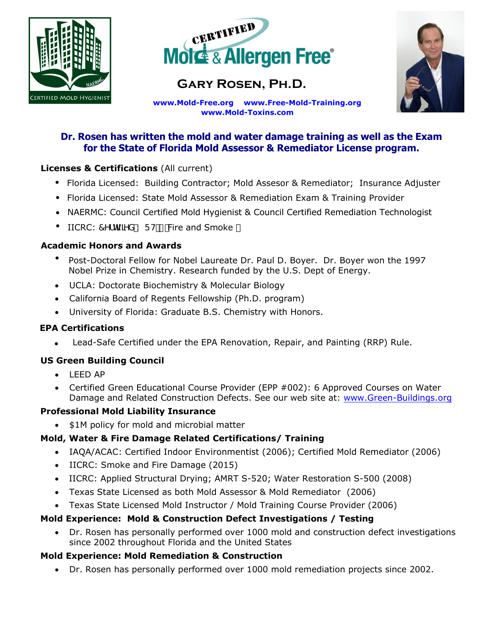



# **Gary Rosen, Ph.D.**



**ww[w.Mold-Free.org](http://www.mold-free.org/) [www.Free-Mold-Training](http://www.green-buildings.org/).org [www.Mold-Toxins.com](http://www.chinese-drywall.org/)**

## **Dr. Rosen has written the mold and water damage training as well as the Exam for the State of Florida Mold Assessor & Remediator License program.**

## **Licenses & Certifications** (All current)

- Florida Licensed: Building Contractor; Mold Assesor & Remediator; Insurance Adjuster
- Florida Licensed: State Mold Assessor & Remediation Exam & Training Provider
- NAERMC: Council Certified Mold Hygienist & Council Certified Remediation Technologist
- IICRC: 7Yfh]ZJYX K FH/ Fire and Smoke

#### **Academic Honors and Awards**

- Post-Doctoral Fellow for Nobel Laureate Dr. Paul D. Boyer. Dr. Boyer won the 1997 Nobel Prize in Chemistry. Research funded by the U.S. Dept of Energy.
- UCLA: Doctorate Biochemistry & Molecular Biology
- California Board of Regents Fellowship (Ph.D. program)
- University of Florida: Graduate B.S. Chemistry with Honors.

## **EPA Certifications**

Lead-Safe Certified under the EPA Renovation, Repair, and Painting (RRP) Rule.

## **US Green Building Council**

- LEED AP
- Certified Green Educational Course Provider (EPP #002): 6 Approved Courses on Water Damage and Related Construction Defects. See our web site at: [www.Green-Buildings.org](http://www.green-buildings.org/)

## **Professional Mold Liability Insurance**

• \$1M policy for mold and microbial matter

## **Mold, Water & Fire Damage Related Certifications/ Training**

- IAQA/ACAC: Certified Indoor Environmentist (2006); Certified Mold Remediator (2006)
- IICRC: Smoke and Fire Damage (2015)
- IICRC: Applied Structural Drying; AMRT S-520; Water Restoration S-500 (2008)
- Texas State Licensed as both Mold Assessor & Mold Remediator (2006)
- Texas State Licensed Mold Instructor / Mold Training Course Provider (2006)

## **Mold Experience: Mold & Construction Defect Investigations / Testing**

 Dr. Rosen has personally performed over 1000 mold and construction defect investigations since 2002 throughout Florida and the United States

## **Mold Experience: Mold Remediation & Construction**

Dr. Rosen has personally performed over 1000 mold remediation projects since 2002.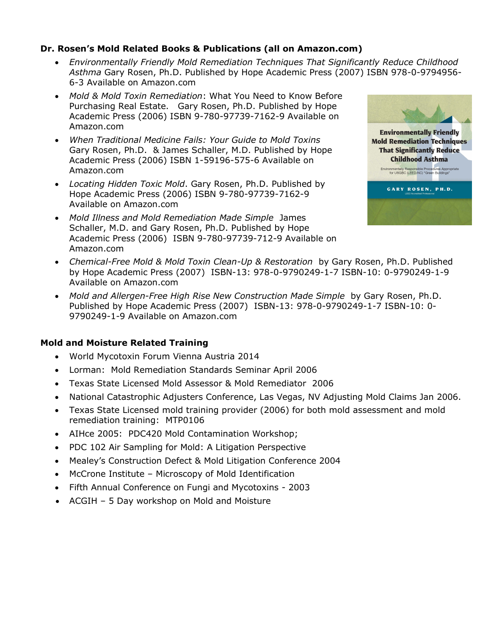#### **Dr. Rosen's Mold Related Books & Publications (all on Amazon.com)**

- *Environmentally Friendly Mold Remediation Techniques That Significantly Reduce Childhood Asthma* Gary Rosen, Ph.D. Published by Hope Academic Press (2007) ISBN 978-0-9794956- 6-3 Available on Amazon.com
- *Mold & Mold Toxin Remediation*: What You Need to Know Before Purchasing Real Estate. Gary Rosen, Ph.D. Published by Hope Academic Press (2006) ISBN 9-780-97739-7162-9 Available on Amazon.com
- *When Traditional Medicine Fails: Your Guide to Mold Toxins* Gary Rosen, Ph.D. & James Schaller, M.D. Published by Hope Academic Press (2006) ISBN 1-59196-575-6 Available on Amazon.com
- *Locating Hidden Toxic Mold*. Gary Rosen, Ph.D. Published by Hope Academic Press (2006) ISBN 9-780-97739-7162-9 Available on Amazon.com
- *Mold Illness and Mold Remediation Made Simple* James Schaller, M.D. and Gary Rosen, Ph.D. Published by Hope Academic Press (2006) ISBN 9-780-97739-712-9 Available on Amazon.com



- *Chemical-Free Mold & Mold Toxin Clean-Up & Restoration* by Gary Rosen, Ph.D. Published by Hope Academic Press (2007) ISBN-13: 978-0-9790249-1-7 ISBN-10: 0-9790249-1-9 Available on Amazon.com
- *Mold and Allergen-Free High Rise New Construction Made Simple* by Gary Rosen, Ph.D. Published by Hope Academic Press (2007) ISBN-13: 978-0-9790249-1-7 ISBN-10: 0- 9790249-1-9 Available on Amazon.com

#### **Mold and Moisture Related Training**

- World Mycotoxin Forum Vienna Austria 2014
- Lorman: Mold Remediation Standards Seminar April 2006
- Texas State Licensed Mold Assessor & Mold Remediator 2006
- National Catastrophic Adjusters Conference, Las Vegas, NV Adjusting Mold Claims Jan 2006.
- Texas State Licensed mold training provider (2006) for both mold assessment and mold remediation training: MTP0106
- AIHce 2005: PDC420 Mold Contamination Workshop;
- PDC 102 Air Sampling for Mold: A Litigation Perspective
- Mealey's Construction Defect & Mold Litigation Conference 2004
- McCrone Institute Microscopy of Mold Identification
- Fifth Annual Conference on Fungi and Mycotoxins 2003
- ACGIH 5 Day workshop on Mold and Moisture